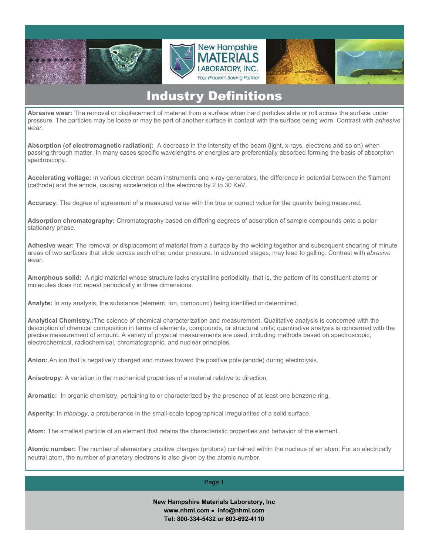# Industry Definitions

**Abrasive wear:** The removal or displacement of material from a surface when hard particles slide or roll across the surface under pressure. The particles may be loose or may be part of another surface in contact with the surface being worn. Contrast with *adhesive wear*.

**Absorption (of electromagnetic radiation):** A decrease in the intensity of the beam (light, x-rays, electrons and so on) when passing through matter. In many cases specific wavelengths or energies are preferentially absorbed forming the basis of absorption spectroscopy.

**Accelerating voltage:** In various electron beam instruments and x-ray generators, the difference in potential between the filament (cathode) and the anode, causing acceleration of the electrons by 2 to 30 KeV.

**Accuracy:** The degree of agreement of a measured value with the true or correct value for the quanity being measured.

**Adsorption chromatography:** Chromatography based on differing degrees of adsorption of sample compounds onto a polar stationary phase.

**Adhesive wear:** The removal or displacement of material from a surface by the welding together and subsequent shearing of minute areas of two surfaces that slide across each other under pressure. In advanced stages, may lead to galling. Contrast with *abrasive wear*.

**Amorphous solid:** A rigid material whose structure lacks crystalline periodicity, that is, the pattern of its constituent atoms or molecules does not repeat periodically in three dimensions.

**Analyte:** In any analysis, the substance (element, ion, compound) being identified or determined.

**Analytical Chemistry.:**The science of chemical characterization and measurement. Qualitative analysis is concerned with the description of chemical composition in terms of elements, compounds, or structural units; quantitative analysis is concerned with the precise measurement of amount. A variety of physical measurements are used, including methods based on spectroscopic, electrochemical, radiochemical, chromatographic, and nuclear principles.

**Anion:** An ion that is negatively charged and moves toward the positive pole (anode) during electrolysis.

**Anisotropy:** A variation in the mechanical properties of a material relative to direction.

**Aromatic:** In organic chemistry, pertaining to or characterized by the presence of at least one benzene ring.

**Asperity:** In *tribology*, a protuberance in the small-scale topographical irregularities of a solid surface.

**Atom:** The smallest particle of an element that retains the characteristic properties and behavior of the element.

**Atomic number:** The number of elementary positive charges (protons) contained within the nucleus of an atom. For an electrically neutral atom, the number of planetary electrons is also given by the atomic number.

Page 1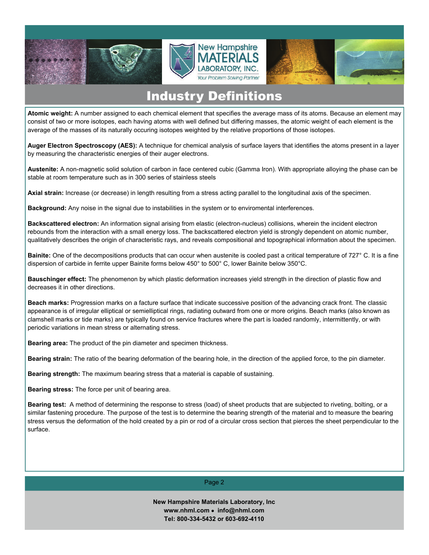**New Hampshire ATEPIA** 

**Your Problem Solving Partner** 

**Atomic weight:** A number assigned to each chemical element that specifies the average mass of its atoms. Because an element may consist of two or more isotopes, each having atoms with well defined but differing masses, the atomic weight of each element is the average of the masses of its naturally occuring isotopes weighted by the relative proportions of those isotopes.

**Auger Electron Spectroscopy (AES):** A technique for chemical analysis of surface layers that identifies the atoms present in a layer by measuring the characteristic energies of their auger electrons.

**Austenite:** A non-magnetic solid solution of carbon in face centered cubic (Gamma Iron). With appropriate alloying the phase can be stable at room temperature such as in 300 series of stainless steels

**Axial strain:** Increase (or decrease) in length resulting from a stress acting parallel to the longitudinal axis of the specimen.

**Background:** Any noise in the signal due to instabilities in the system or to enviromental interferences.

**Backscattered electron:** An information signal arising from elastic (electron-nucleus) collisions, wherein the incident electron rebounds from the interaction with a small energy loss. The backscattered electron yield is strongly dependent on atomic number, qualitatively describes the origin of characteristic rays, and reveals compositional and topographical information about the specimen.

**Bainite:** One of the decompositions products that can occur when austenite is cooled past a critical temperature of 727° C. It is a fine dispersion of carbide in ferrite upper Bainite forms below 450° to 500° C, lower Bainite below 350°C.

**Bauschinger effect:** The phenomenon by which plastic deformation increases yield strength in the direction of plastic flow and decreases it in other directions.

**Beach marks:** Progression marks on a facture surface that indicate successive position of the advancing crack front. The classic appearance is of irregular elliptical or semielliptical rings, radiating outward from one or more origins. Beach marks (also known as clamshell marks or tide marks) are typically found on service fractures where the part is loaded randomly, intermittently, or with periodic variations in mean stress or alternating stress.

**Bearing area:** The product of the pin diameter and specimen thickness.

**Bearing strain:** The ratio of the bearing deformation of the bearing hole, in the direction of the applied force, to the pin diameter.

**Bearing strength:** The maximum bearing stress that a material is capable of sustaining.

**Bearing stress:** The force per unit of bearing area.

**Bearing test:** A method of determining the response to stress (load) of sheet products that are subjected to riveting, bolting, or a similar fastening procedure. The purpose of the test is to determine the bearing strength of the material and to measure the bearing stress versus the deformation of the hold created by a pin or rod of a circular cross section that pierces the sheet perpendicular to the surface.

Page 2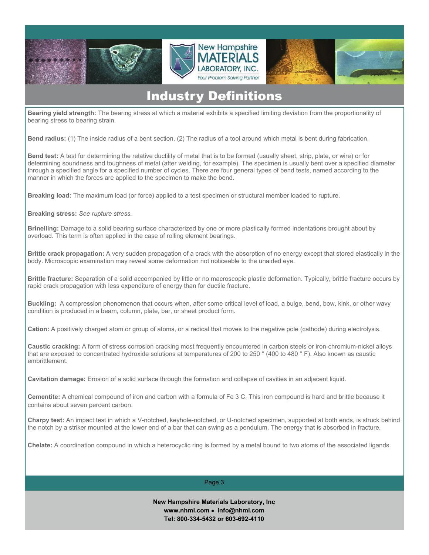## Industry Definitions

**Bearing yield strength:** The bearing stress at which a material exhibits a specified limiting deviation from the proportionality of bearing stress to bearing strain.

**Bend radius:** (1) The inside radius of a bent section. (2) The radius of a tool around which metal is bent during fabrication.

**Bend test:** A test for determining the relative ductility of metal that is to be formed (usually sheet, strip, plate, or wire) or for determining soundness and toughness of metal (after welding, for example). The specimen is usually bent over a specified diameter through a specified angle for a specified number of cycles. There are four general types of bend tests, named according to the manner in which the forces are applied to the specimen to make the bend.

**Breaking load:** The maximum load (or force) applied to a test specimen or structural member loaded to rupture.

**Breaking stress:** *See rupture stress.* 

**Brinelling:** Damage to a solid bearing surface characterized by one or more plastically formed indentations brought about by overload. This term is often applied in the case of rolling element bearings.

**Brittle crack propagation:** A very sudden propagation of a crack with the absorption of no energy except that stored elastically in the body. Microscopic examination may reveal some deformation not noticeable to the unaided eye.

**Brittle fracture:** Separation of a solid accompanied by little or no macroscopic plastic deformation. Typically, brittle fracture occurs by rapid crack propagation with less expenditure of energy than for ductile fracture.

**Buckling:** A compression phenomenon that occurs when, after some critical level of load, a bulge, bend, bow, kink, or other wavy condition is produced in a beam, column, plate, bar, or sheet product form.

**Cation:** A positively charged atom or group of atoms, or a radical that moves to the negative pole (cathode) during electrolysis.

**Caustic cracking:** A form of stress corrosion cracking most frequently encountered in carbon steels or iron-chromium-nickel alloys that are exposed to concentrated hydroxide solutions at temperatures of 200 to 250 ° (400 to 480 ° F). Also known as caustic embrittlement.

**Cavitation damage:** Erosion of a solid surface through the formation and collapse of cavities in an adjacent liquid.

**Cementite:** A chemical compound of iron and carbon with a formula of Fe 3 C. This iron compound is hard and brittle because it contains about seven percent carbon.

**Charpy test:** An impact test in which a V-notched, keyhole-notched, or U-notched specimen, supported at both ends, is struck behind the notch by a striker mounted at the lower end of a bar that can swing as a pendulum. The energy that is absorbed in fracture.

**Chelate:** A coordination compound in which a heterocyclic ring is formed by a metal bound to two atoms of the associated ligands.

Page 3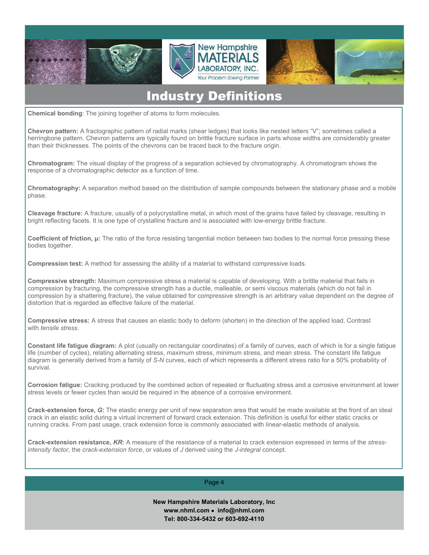**New Hampshire** MATFRIAI S **ABORATORY, INC. Your Problem Solving Partner** 

**Chemical bonding**: The joining together of atoms to form molecules.

**Chevron pattern:** A fractographic pattern of radial marks (shear ledges) that looks like nested letters "V"; sometimes called a herringbone pattern. Chevron patterns are typically found on brittle fracture surface in parts whose widths are considerably greater than their thicknesses. The points of the chevrons can be traced back to the fracture origin.

**Chromatogram:** The visual display of the progress of a separation achieved by chromatography. A chromatogram shows the response of a chromatographic detector as a function of time.

**Chromatography:** A separation method based on the distribution of sample compounds between the stationary phase and a mobile phase.

**Cleavage fracture:** A fracture, usually of a polycrystalline metal, in which most of the grains have failed by cleavage, resulting in bright reflecting facets. It is one type of crystalline fracture and is associated with low-energy brittle fracture.

**Coefficient of friction, μ:** The ratio of the force resisting tangential motion between two bodies to the normal force pressing these bodies together.

**Compression test:** A method for assessing the ability of a material to withstand compressive loads.

**Compressive strength:** Maximum compressive stress a material is capable of developing. With a brittle material that fails in compression by fracturing, the compressive strength has a ductile, malleable, or semi viscous materials (which do not fail in compression by a shattering fracture), the value obtained for compressive strength is an arbitrary value dependent on the degree of distortion that is regarded as effective failure of the material.

**Compressive stress:** A stress that causes an elastic body to deform (shorten) in the direction of the applied load. Contrast with *tensile stress*.

**Constant life fatigue diagram:** A plot (usually on rectangular coordinates) of a family of curves, each of which is for a single fatigue life (number of cycles), relating alternating stress, maximum stress, minimum stress, and mean stress. The constant life fatigue diagram is generally derived from a family of *S-N* curves, each of which represents a different stress ratio for a 50% probability of survival.

**Corrosion fatigue:** Cracking produced by the combined action of repeated or fluctuating stress and a corrosive environment at lower stress levels or fewer cycles than would be required in the absence of a corrosive environment.

**Crack-extension force,** *G***:** The elastic energy per unit of new separation area that would be made available at the front of an ideal crack in an elastic solid during a virtual increment of forward crack extension. This definition is useful for either static cracks or running cracks. From past usage, crack extension force is commonly associated with linear-elastic methods of analysis.

**Crack-extension resistance,** *KR***:** A measure of the resistance of a material to crack extension expressed in terms of the *stressintensity factor*, the *crack-extension force*, or values of *J* derived using the *J-integral* concept.

Page 4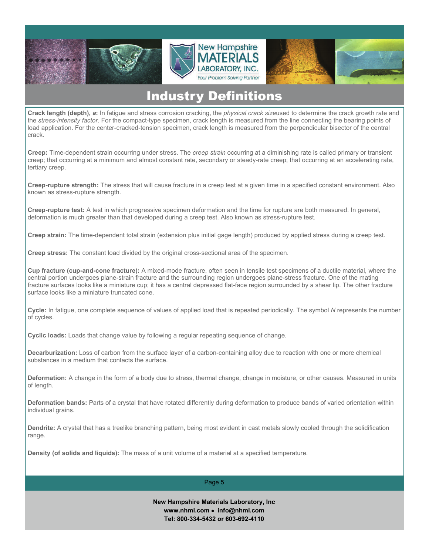# Industry Definitions

**Crack length (depth),** *a***:** In fatigue and stress corrosion cracking, the *physical crack size*used to determine the crack growth rate and the *stress-intensity factor*. For the compact-type specimen, crack length is measured from the line connecting the bearing points of load application. For the center-cracked-tension specimen, crack length is measured from the perpendicular bisector of the central crack.

**Creep:** Time-dependent strain occurring under stress. The *creep strain* occurring at a diminishing rate is called primary or transient creep; that occurring at a minimum and almost constant rate, secondary or steady-rate creep; that occurring at an accelerating rate, tertiary creep.

**Creep-rupture strength:** The stress that will cause fracture in a creep test at a given time in a specified constant environment. Also known as stress-rupture strength.

**Creep-rupture test:** A test in which progressive specimen deformation and the time for rupture are both measured. In general, deformation is much greater than that developed during a creep test. Also known as stress-rupture test.

**Creep strain:** The time-dependent total strain (extension plus initial gage length) produced by applied stress during a creep test.

**Creep stress:** The constant load divided by the original cross-sectional area of the specimen.

**Cup fracture (cup-and-cone fracture):** A mixed-mode fracture, often seen in tensile test specimens of a ductile material, where the central portion undergoes plane-strain fracture and the surrounding region undergoes plane-stress fracture. One of the mating fracture surfaces looks like a miniature cup; it has a central depressed flat-face region surrounded by a shear lip. The other fracture surface looks like a miniature truncated cone.

**Cycle:** In fatigue, one complete sequence of values of applied load that is repeated periodically. The symbol *N* represents the number of cycles.

**Cyclic loads:** Loads that change value by following a regular repeating sequence of change.

**Decarburization:** Loss of carbon from the surface layer of a carbon-containing alloy due to reaction with one or more chemical substances in a medium that contacts the surface.

**Deformation:** A change in the form of a body due to stress, thermal change, change in moisture, or other causes. Measured in units of length.

**Deformation bands:** Parts of a crystal that have rotated differently during deformation to produce bands of varied orientation within individual grains.

**Dendrite:** A crystal that has a treelike branching pattern, being most evident in cast metals slowly cooled through the solidification range.

**Density (of solids and liquids):** The mass of a unit volume of a material at a specified temperature.

Page 5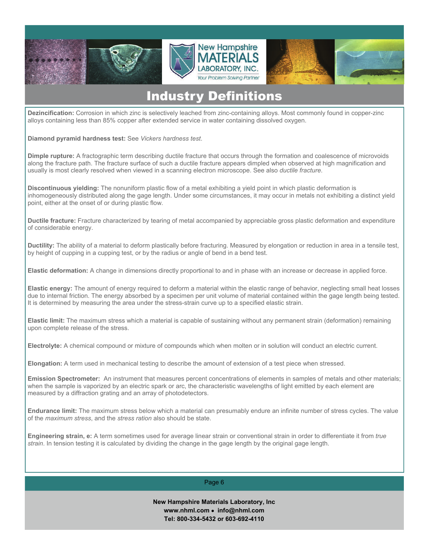**New Hampshire** MATERIA

**Your Problem Solving Partner** 

**Dezincification:** Corrosion in which zinc is selectively leached from zinc-containing alloys. Most commonly found in copper-zinc alloys containing less than 85% copper after extended service in water containing dissolved oxygen.

**Diamond pyramid hardness test:** See *Vickers hardness test*.

**Dimple rupture:** A fractographic term describing ductile fracture that occurs through the formation and coalescence of microvoids along the fracture path. The fracture surface of such a ductile fracture appears dimpled when observed at high magnification and usually is most clearly resolved when viewed in a scanning electron microscope. See also *ductile fracture*.

**Discontinuous yielding:** The nonuniform plastic flow of a metal exhibiting a yield point in which plastic deformation is inhomogeneously distributed along the gage length. Under some circumstances, it may occur in metals not exhibiting a distinct yield point, either at the onset of or during plastic flow.

**Ductile fracture:** Fracture characterized by tearing of metal accompanied by appreciable gross plastic deformation and expenditure of considerable energy.

**Ductility:** The ability of a material to deform plastically before fracturing. Measured by elongation or reduction in area in a tensile test, by height of cupping in a cupping test, or by the radius or angle of bend in a bend test.

**Elastic deformation:** A change in dimensions directly proportional to and in phase with an increase or decrease in applied force.

**Elastic energy:** The amount of energy required to deform a material within the elastic range of behavior, neglecting small heat losses due to internal friction. The energy absorbed by a specimen per unit volume of material contained within the gage length being tested. It is determined by measuring the area under the stress-strain curve up to a specified elastic strain.

**Elastic limit:** The maximum stress which a material is capable of sustaining without any permanent strain (deformation) remaining upon complete release of the stress.

**Electrolyte:** A chemical compound or mixture of compounds which when molten or in solution will conduct an electric current.

**Elongation:** A term used in mechanical testing to describe the amount of extension of a test piece when stressed.

**Emission Spectrometer:** An instrument that measures percent concentrations of elements in samples of metals and other materials; when the sample is vaporized by an electric spark or arc, the characteristic wavelengths of light emitted by each element are measured by a diffraction grating and an array of photodetectors.

**Endurance limit:** The maximum stress below which a material can presumably endure an infinite number of stress cycles. The value of the *maximum stress*, and the *stress ration* also should be state.

**Engineering strain, e:** A term sometimes used for average linear strain or conventional strain in order to differentiate it from *true strain*. In tension testing it is calculated by dividing the change in the gage length by the original gage length.

#### Page 6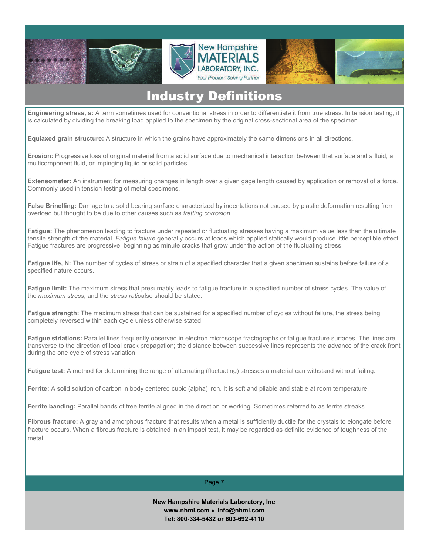**New Hampshire** MATERIA

**Your Problem Solving Partner** 

**Engineering stress, s:** A term sometimes used for conventional stress in order to differentiate it from true stress. In tension testing, it is calculated by dividing the breaking load applied to the specimen by the original cross-sectional area of the specimen.

**Equiaxed grain structure:** A structure in which the grains have approximately the same dimensions in all directions.

**Erosion:** Progressive loss of original material from a solid surface due to mechanical interaction between that surface and a fluid, a multicomponent fluid, or impinging liquid or solid particles.

**Extensometer:** An instrument for measuring changes in length over a given gage length caused by application or removal of a force. Commonly used in tension testing of metal specimens.

**False Brinelling:** Damage to a solid bearing surface characterized by indentations not caused by plastic deformation resulting from overload but thought to be due to other causes such as *fretting corrosion*.

**Fatigue:** The phenomenon leading to fracture under repeated or fluctuating stresses having a maximum value less than the ultimate tensile strength of the material. *Fatigue failure* generally occurs at loads which applied statically would produce little perceptible effect. Fatigue fractures are progressive, beginning as minute cracks that grow under the action of the fluctuating stress.

**Fatigue life, N:** The number of cycles of stress or strain of a specified character that a given specimen sustains before failure of a specified nature occurs.

**Fatigue limit:** The maximum stress that presumably leads to fatigue fracture in a specified number of stress cycles. The value of the *maximum stress*, and the *stress ratio*also should be stated.

**Fatigue strength:** The maximum stress that can be sustained for a specified number of cycles without failure, the stress being completely reversed within each cycle unless otherwise stated.

**Fatigue striations:** Parallel lines frequently observed in electron microscope fractographs or fatigue fracture surfaces. The lines are transverse to the direction of local crack propagation; the distance between successive lines represents the advance of the crack front during the one cycle of stress variation.

**Fatigue test:** A method for determining the range of alternating (fluctuating) stresses a material can withstand without failing.

**Ferrite:** A solid solution of carbon in body centered cubic (alpha) iron. It is soft and pliable and stable at room temperature.

**Ferrite banding:** Parallel bands of free ferrite aligned in the direction or working. Sometimes referred to as ferrite streaks.

**Fibrous fracture:** A gray and amorphous fracture that results when a metal is sufficiently ductile for the crystals to elongate before fracture occurs. When a fibrous fracture is obtained in an impact test, it may be regarded as definite evidence of toughness of the metal.

Page 7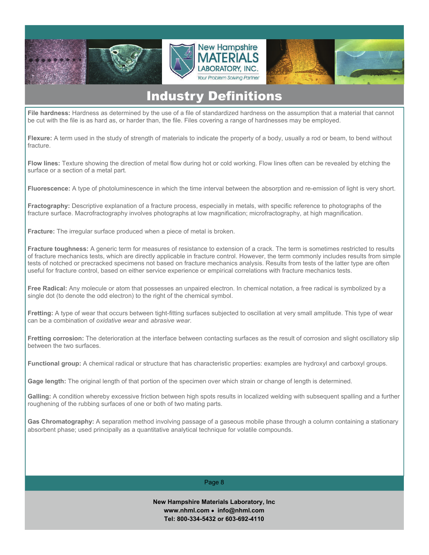### Industry Definitions

**File hardness:** Hardness as determined by the use of a file of standardized hardness on the assumption that a material that cannot be cut with the file is as hard as, or harder than, the file. Files covering a range of hardnesses may be employed.

**Flexure:** A term used in the study of strength of materials to indicate the property of a body, usually a rod or beam, to bend without fracture.

**Flow lines:** Texture showing the direction of metal flow during hot or cold working. Flow lines often can be revealed by etching the surface or a section of a metal part.

**Fluorescence:** A type of photoluminescence in which the time interval between the absorption and re-emission of light is very short.

**Fractography:** Descriptive explanation of a fracture process, especially in metals, with specific reference to photographs of the fracture surface. Macrofractography involves photographs at low magnification; microfractography, at high magnification.

**Fracture:** The irregular surface produced when a piece of metal is broken.

**Fracture toughness:** A generic term for measures of resistance to extension of a crack. The term is sometimes restricted to results of fracture mechanics tests, which are directly applicable in fracture control. However, the term commonly includes results from simple tests of notched or precracked specimens not based on fracture mechanics analysis. Results from tests of the latter type are often useful for fracture control, based on either service experience or empirical correlations with fracture mechanics tests.

**Free Radical:** Any molecule or atom that possesses an unpaired electron. In chemical notation, a free radical is symbolized by a single dot (to denote the odd electron) to the right of the chemical symbol.

Fretting: A type of wear that occurs between tight-fitting surfaces subjected to oscillation at very small amplitude. This type of wear can be a combination of *oxidative wear* and *abrasive wear*.

**Fretting corrosion:** The deterioration at the interface between contacting surfaces as the result of corrosion and slight oscillatory slip between the two surfaces.

**Functional group:** A chemical radical or structure that has characteristic properties: examples are hydroxyl and carboxyl groups.

**Gage length:** The original length of that portion of the specimen over which strain or change of length is determined.

**Galling:** A condition whereby excessive friction between high spots results in localized welding with subsequent spalling and a further roughening of the rubbing surfaces of one or both of two mating parts.

**Gas Chromatography:** A separation method involving passage of a gaseous mobile phase through a column containing a stationary absorbent phase; used principally as a quantitative analytical technique for volatile compounds.

#### Page 8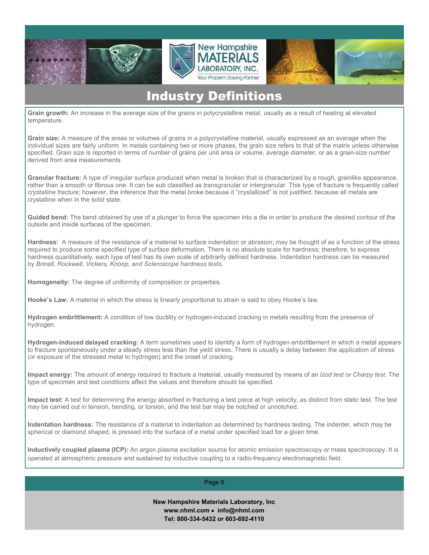### **New Hampshire** MATERIAI S **ABORATORY, INC. Your Problem Solving Partner**

### Industry Definitions

**Grain growth:** An increase in the average size of the grains in polycrystalline metal, usually as a result of heating at elevated temperature.

**Grain size:** A measure of the areas or volumes of grains in a polycrystalline material, usually expressed as an average when the individual sizes are fairly uniform. In metals containing two or more phases, the grain size refers to that of the matrix unless otherwise specified. Grain size is reported in terms of number of grains per unit area or volume, average diameter, or as a grain-size number derived from area measurements.

Granular fracture: A type of irregular surface produced when metal is broken that is characterized by a rough, grainlike appearance, rather than a smooth or fibrous one. It can be sub classified as transgranular or intergranular. This type of fracture is frequently called *crystalline fracture*; however, the inference that the metal broke because it "crystallized" is not justified, because all metals are crystalline when in the solid state.

**Guided bend:** The bend obtained by use of a plunger to force the specimen into a die in order to produce the desired contour of the outside and inside surfaces of the specimen.

**Hardness:** A measure of the resistance of a material to surface indentation or abrasion; may be thought of as a function of the stress required to produce some specified type of surface deformation. There is no absolute scale for hardness; therefore, to express hardness quantitatively, each type of test has its own scale of arbitrarily defined hardness. Indentation hardness can be measured by *Brinell, Rockwell, Vickers, Knoop, and Scleroscope hardness tests*.

**Homogeneity:** The degree of uniformity of composition or properties.

**Hooke's Law:** A material in which the stress is linearly proportional to strain is said to obey Hooke's law.

**Hydrogen embrittlement:** A condition of low ductility or hydrogen-induced cracking in metals resulting from the presence of hydrogen.

**Hydrogen-induced delayed cracking:** A term sometimes used to identify a form of hydrogen embrittlement in which a metal appears to fracture spontaneously under a steady stress less than the yield stress. There is usually a delay between the application of stress (or exposure of the stressed metal to hydrogen) and the onset of cracking.

**Impact energy:** The amount of energy required to fracture a material, usually measured by means of an *Izod test or Charpy test*. The type of specimen and test conditions affect the values and therefore should be specified.

**Impact test:** A test for determining the energy absorbed in fracturing a test piece at high velocity, as distinct from static test. The test may be carried out in tension, bending, or torsion, and the test bar may be notched or unnotched.

**Indentation hardness:** The resistance of a material to indentation as determined by hardness testing. The indenter, which may be spherical or diamond shaped, is pressed into the surface of a metal under specified load for a given time.

**Inductively coupled plasma (ICP):** An argon plasma excitation source for atomic emission spectroscopy or mass spectroscopy. It is operated at atmospheric pressure and sustained by inductive coupling to a radio-frequency electromagnetic field.

Page 9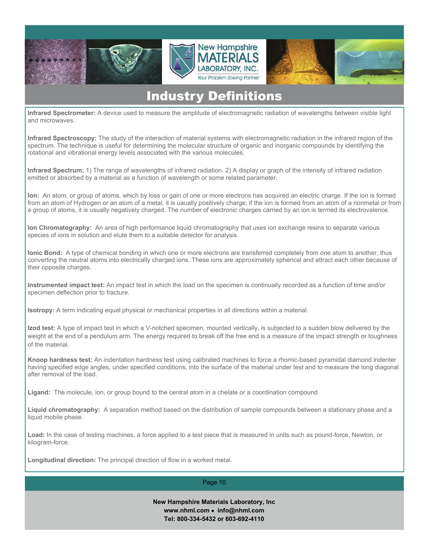**New Hampshire** MATERIA

**Your Problem Solving Partner** 

**Infrared Spectrometer:** A device used to measure the amplitude of electromagnetic radiation of wavelengths between visible light and microwaves.

**Infrared Spectroscopy:** The study of the interaction of material systems with electromagnetic radiation in the infrared region of the spectrum. The technique is useful for determining the molecular structure of organic and inorganic compounds by identifying the rotational and vibrational energy levels associated with the various molecules.

**Infrared Spectrum:** 1) The range of wavelengths of infrared radiation. 2) A display or graph of the intensity of infrared radiation emitted or absorbed by a material as a function of wavelength or some related parameter.

**Ion:** An atom, or group of atoms, which by loss or gain of one or more electrons has acquired an electric charge. If the ion is formed from an atom of Hydrogen or an atom of a metal, it is uaually positively charge; if the ion is formed from an atom of a nonmetal or from a group of atoms, it is usually negatively charged. The number of electronic charges carried by an ion is termed its electrovalence.

**Ion Chromatography:** An area of high performance liquid chromatography that uses ion exchange resins to separate various species of ions in solution and elute them to a suitable detector for analysis.

**Ionic Bond:** A type of chemical bonding in which one or more electrons are transferred completely from one atom to another, thus converting the neutral atoms into electrically charged ions. These ions are approximately spherical and attract each other because of their opposite charges.

**Instrumented impact test:** An impact test in which the load on the specimen is continually recorded as a function of time and/or specimen deflection prior to fracture.

**Isotropy:** A term indicating equal physical or mechanical properties in all directions within a material.

**Izod test:** A type of impact test in which a V-notched specimen, mounted vertically, is subjected to a sudden blow delivered by the weight at the end of a pendulum arm. The energy required to break off the free end is a measure of the impact strength or toughness of the material.

**Knoop hardness test:** An indentation hardness test using calibrated machines to force a rhomic-based pyramidal diamond indenter having specified edge angles, under specified conditions, into the surface of the material under test and to measure the long diagonal after removal of the load.

**Ligand:** The molecule, ion, or group bound to the central atom in a chelate or a coordination compound.

**Liquid chromatography:** A separation method based on the distribution of sample compounds between a stationary phase and a liquid mobile phase.

Load: In the case of testing machines, a force applied to a test piece that is measured in units such as pound-force, Newton, or kilogram-force.

**Longitudinal direction:** The principal direction of flow in a worked metal.

#### Page 10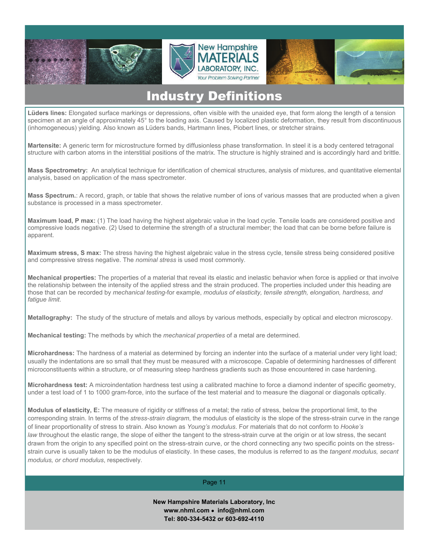**New Hampshire** MATFRIAI S **ABORATORY, INC. Your Problem Solving Partner** 

**Lüders lines:** Elongated surface markings or depressions, often visible with the unaided eye, that form along the length of a tension specimen at an angle of approximately 45° to the loading axis. Caused by localized plastic deformation, they result from discontinuous (inhomogeneous) yielding. Also known as Lüders bands, Hartmann lines, Piobert lines, or stretcher strains.

**Martensite:** A generic term for microstructure formed by diffusionless phase transformation. In steel it is a body centered tetragonal structure with carbon atoms in the interstitial positions of the matrix. The structure is highly strained and is accordingly hard and brittle.

**Mass Spectrometry:** An analytical technique for identification of chemical structures, analysis of mixtures, and quantitative elemental analysis, based on application of the mass spectrometer.

**Mass Spectrum.**: A record, graph, or table that shows the relative number of ions of various masses that are producted when a given substance is processed in a mass spectrometer.

**Maximum load, P max:** (1) The load having the highest algebraic value in the load cycle. Tensile loads are considered positive and compressive loads negative. (2) Used to determine the strength of a structural member; the load that can be borne before failure is apparent.

**Maximum stress, S max:** The stress having the highest algebraic value in the stress cycle, tensile stress being considered positive and compressive stress negative. The *nominal stress* is used most commonly.

**Mechanical properties:** The properties of a material that reveal its elastic and inelastic behavior when force is applied or that involve the relationship between the intensity of the applied stress and the strain produced. The properties included under this heading are those that can be recorded by *mechanical testing*-for example, *modulus of elasticity, tensile strength, elongation, hardness, and fatigue limit*.

**Metallography:** The study of the structure of metals and alloys by various methods, especially by optical and electron microscopy.

**Mechanical testing:** The methods by which the *mechanical properties* of a metal are determined.

**Microhardness:** The hardness of a material as determined by forcing an indenter into the surface of a material under very light load; usually the indentations are so small that they must be measured with a microscope. Capable of determining hardnesses of different microconstituents within a structure, or of measuring steep hardness gradients such as those encountered in case hardening.

**Microhardness test:** A microindentation hardness test using a calibrated machine to force a diamond indenter of specific geometry, under a test load of 1 to 1000 gram-force, into the surface of the test material and to measure the diagonal or diagonals optically.

**Modulus of elasticity, E:** The measure of rigidity or stiffness of a metal; the ratio of stress, below the proportional limit, to the corresponding strain. In terms of the *stress-strain diagram*, the modulus of elasticity is the slope of the stress-strain curve in the range of linear proportionality of stress to strain. Also known as *Young's modulus*. For materials that do not conform to *Hooke's law* throughout the elastic range, the slope of either the tangent to the stress-strain curve at the origin or at low stress, the secant drawn from the origin to any specified point on the stress-strain curve, or the chord connecting any two specific points on the stressstrain curve is usually taken to be the modulus of elasticity. In these cases, the modulus is referred to as the *tangent modulus, secant modulus, or chord modulus*, respectively.

#### Page 11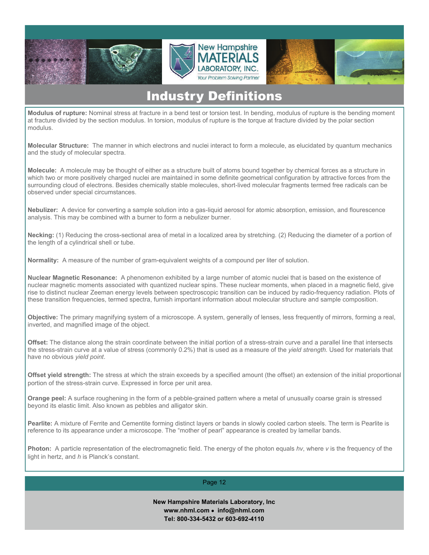### Industry Definitions

**Modulus of rupture:** Nominal stress at fracture in a bend test or torsion test. In bending, modulus of rupture is the bending moment at fracture divided by the section modulus. In torsion, modulus of rupture is the torque at fracture divided by the polar section modulus.

**Molecular Structure:** The manner in which electrons and nuclei interact to form a molecule, as elucidated by quantum mechanics and the study of molecular spectra.

**Molecule:** A molecule may be thought of either as a structure built of atoms bound together by chemical forces as a structure in which two or more positively charged nuclei are maintained in some definite geometrical configuration by attractive forces from the surrounding cloud of electrons. Besides chemically stable molecules, short-lived molecular fragments termed free radicals can be observed under special circumstances.

**Nebulizer:** A device for converting a sample solution into a gas-liquid aerosol for atomic absorption, emission, and flourescence analysis. This may be combined with a burner to form a nebulizer burner.

**Necking:** (1) Reducing the cross-sectional area of metal in a localized area by stretching. (2) Reducing the diameter of a portion of the length of a cylindrical shell or tube.

**Normality:** A measure of the number of gram-equivalent weights of a compound per liter of solution.

**Nuclear Magnetic Resonance:** A phenomenon exhibited by a large number of atomic nuclei that is based on the existence of nuclear magnetic moments associated with quantized nuclear spins. These nuclear moments, when placed in a magnetic field, give rise to distinct nuclear Zeeman energy levels between spectroscopic transition can be induced by radio-frequency radiation. Plots of these transition frequencies, termed spectra, furnish important information about molecular structure and sample composition.

**Objective:** The primary magnifying system of a microscope. A system, generally of lenses, less frequently of mirrors, forming a real, inverted, and magnified image of the object.

**Offset:** The distance along the strain coordinate between the initial portion of a stress-strain curve and a parallel line that intersects the stress-strain curve at a value of stress (commonly 0.2%) that is used as a measure of the *yield strength*. Used for materials that have no obvious *yield point*.

**Offset yield strength:** The stress at which the strain exceeds by a specified amount (the offset) an extension of the initial proportional portion of the stress-strain curve. Expressed in force per unit area.

**Orange peel:** A surface roughening in the form of a pebble-grained pattern where a metal of unusually coarse grain is stressed beyond its elastic limit. Also known as pebbles and alligator skin.

**Pearlite:** A mixture of Ferrite and Cementite forming distinct layers or bands in slowly cooled carbon steels. The term is Pearlite is reference to its appearance under a microscope. The "mother of pearl" appearance is created by lamellar bands.

**Photon:** A particle representation of the electromagnetic field. The energy of the photon equals *hv*, where *v* is the frequency of the light in hertz, and *h* is Planck's constant.

#### Page 12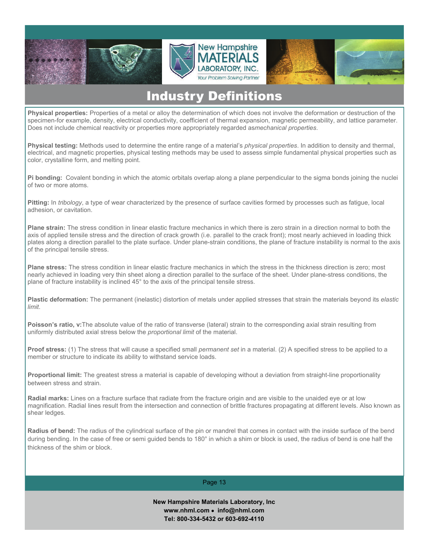### **New Hampshire** MATFRIAI S **ABORATORY, INC. Your Problem Solving Partner**

# Industry Definitions

**Physical properties:** Properties of a metal or alloy the determination of which does not involve the deformation or destruction of the specimen-for example, density, electrical conductivity, coefficient of thermal expansion, magnetic permeability, and lattice parameter. Does not include chemical reactivity or properties more appropriately regarded as*mechanical properties*.

**Physical testing:** Methods used to determine the entire range of a material's *physical properties*. In addition to density and thermal, electrical, and magnetic properties, physical testing methods may be used to assess simple fundamental physical properties such as color, crystalline form, and melting point.

**Pi bonding:** Covalent bonding in which the atomic orbitals overlap along a plane perpendicular to the sigma bonds joining the nuclei of two or more atoms.

**Pitting:** In *tribology*, a type of wear characterized by the presence of surface cavities formed by processes such as fatigue, local adhesion, or cavitation.

**Plane strain:** The stress condition in linear elastic fracture mechanics in which there is zero strain in a direction normal to both the axis of applied tensile stress and the direction of crack growth (i.e. parallel to the crack front); most nearly achieved in loading thick plates along a direction parallel to the plate surface. Under plane-strain conditions, the plane of fracture instability is normal to the axis of the principal tensile stress.

**Plane stress:** The stress condition in linear elastic fracture mechanics in which the stress in the thickness direction is zero; most nearly achieved in loading very thin sheet along a direction parallel to the surface of the sheet. Under plane-stress conditions, the plane of fracture instability is inclined 45° to the axis of the principal tensile stress.

**Plastic deformation:** The permanent (inelastic) distortion of metals under applied stresses that strain the materials beyond its *elastic limit*.

**Poisson's ratio, v:**The absolute value of the ratio of transverse (lateral) strain to the corresponding axial strain resulting from uniformly distributed axial stress below the *proportional limit* of the material.

**Proof stress:** (1) The stress that will cause a specified small *permanent set* in a material. (2) A specified stress to be applied to a member or structure to indicate its ability to withstand service loads.

**Proportional limit:** The greatest stress a material is capable of developing without a deviation from straight-line proportionality between stress and strain.

**Radial marks:** Lines on a fracture surface that radiate from the fracture origin and are visible to the unaided eye or at low magnification. Radial lines result from the intersection and connection of brittle fractures propagating at different levels. Also known as shear ledges.

**Radius of bend:** The radius of the cylindrical surface of the pin or mandrel that comes in contact with the inside surface of the bend during bending. In the case of free or semi guided bends to 180° in which a shim or block is used, the radius of bend is one half the thickness of the shim or block.

#### Page 13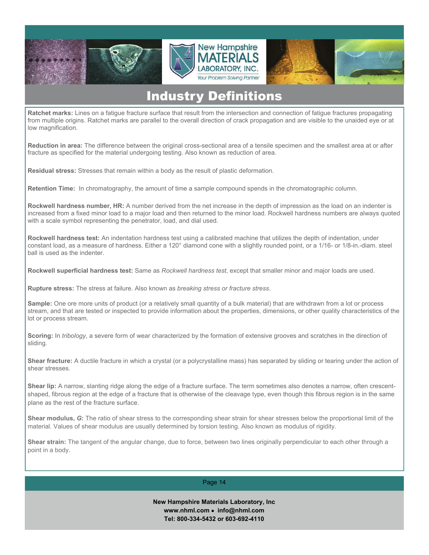### Industry Definitions

**Ratchet marks:** Lines on a fatigue fracture surface that result from the intersection and connection of fatigue fractures propagating from multiple origins. Ratchet marks are parallel to the overall direction of crack propagation and are visible to the unaided eye or at low magnification.

**Reduction in area:** The difference between the original cross-sectional area of a tensile specimen and the smallest area at or after fracture as specified for the material undergoing testing. Also known as reduction of area.

**Residual stress:** Stresses that remain within a body as the result of plastic deformation.

**Retention Time:** In chromatography, the amount of time a sample compound spends in the chromatographic column.

**Rockwell hardness number, HR:** A number derived from the net increase in the depth of impression as the load on an indenter is increased from a fixed minor load to a major load and then returned to the minor load. Rockwell hardness numbers are always quoted with a scale symbol representing the penetrator, load, and dial used.

**Rockwell hardness test:** An indentation hardness test using a calibrated machine that utilizes the depth of indentation, under constant load, as a measure of hardness. Either a 120° diamond cone with a slightly rounded point, or a 1/16- or 1/8-in.-diam. steel ball is used as the indenter.

**Rockwell superficial hardness test:** Same as *Rockwell hardness test*, except that smaller minor and major loads are used.

**Rupture stress:** The stress at failure. Also known as *breaking stress or fracture stress*.

**Sample:** One ore more units of product (or a relatively small quantity of a bulk material) that are withdrawn from a lot or process stream, and that are tested or inspected to provide information about the properties, dimensions, or other quality characteristics of the lot or process stream.

**Scoring:** In *tribology*, a severe form of wear characterized by the formation of extensive grooves and scratches in the direction of sliding.

**Shear fracture:** A ductile fracture in which a crystal (or a polycrystalline mass) has separated by sliding or tearing under the action of shear stresses.

**Shear lip:** A narrow, slanting ridge along the edge of a fracture surface. The term sometimes also denotes a narrow, often crescentshaped, fibrous region at the edge of a fracture that is otherwise of the cleavage type, even though this fibrous region is in the same plane as the rest of the fracture surface.

**Shear modulus, G:** The ratio of shear stress to the corresponding shear strain for shear stresses below the proportional limit of the material. Values of shear modulus are usually determined by torsion testing. Also known as modulus of rigidity.

**Shear strain:** The tangent of the angular change, due to force, between two lines originally perpendicular to each other through a point in a body.

#### Page 14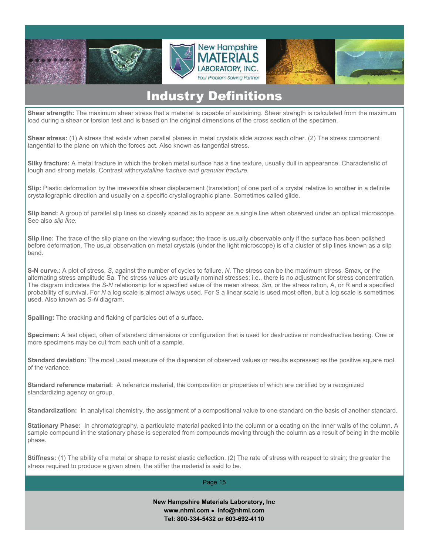**New Hampshire** MATFRIAI S **ABORATORY, INC. Your Problem Solving Partner** 

**Shear strength:** The maximum shear stress that a material is capable of sustaining. Shear strength is calculated from the maximum load during a shear or torsion test and is based on the original dimensions of the cross section of the specimen.

**Shear stress:** (1) A stress that exists when parallel planes in metal crystals slide across each other. (2) The stress component tangential to the plane on which the forces act. Also known as tangential stress.

**Silky fracture:** A metal fracture in which the broken metal surface has a fine texture, usually dull in appearance. Characteristic of tough and strong metals. Contrast with*crystalline fracture and granular fracture*.

**Slip:** Plastic deformation by the irreversible shear displacement (translation) of one part of a crystal relative to another in a definite crystallographic direction and usually on a specific crystallographic plane. Sometimes called glide.

**Slip band:** A group of parallel slip lines so closely spaced as to appear as a single line when observed under an optical microscope. See also *slip line*.

**Slip line:** The trace of the slip plane on the viewing surface; the trace is usually observable only if the surface has been polished before deformation. The usual observation on metal crystals (under the light microscope) is of a cluster of slip lines known as a slip band.

**S-N curve.**: A plot of stress, *S*, against the number of cycles to failure, *N*. The stress can be the maximum stress, Smax, or the alternating stress amplitude Sa. The stress values are usually nominal stresses; i.e., there is no adjustment for stress concentration. The diagram indicates the *S-N* relationship for a specified value of the mean stress, *Sm*, or the stress ration, A, or R and a specified probability of survival. For *N* a log scale is almost always used. For S a linear scale is used most often, but a log scale is sometimes used. Also known as *S-N* diagram.

**Spalling:** The cracking and flaking of particles out of a surface.

**Specimen:** A test object, often of standard dimensions or configuration that is used for destructive or nondestructive testing. One or more specimens may be cut from each unit of a sample.

**Standard deviation:** The most usual measure of the dispersion of observed values or results expressed as the positive square root of the variance.

**Standard reference material:** A reference material, the composition or properties of which are certified by a recognized standardizing agency or group.

**Standardization:** In analytical chemistry, the assignment of a compositional value to one standard on the basis of another standard.

**Stationary Phase:** In chromatography, a particulate material packed into the column or a coating on the inner walls of the column. A sample compound in the stationary phase is seperated from compounds moving through the column as a result of being in the mobile phase.

**Stiffness:** (1) The ability of a metal or shape to resist elastic deflection. (2) The rate of stress with respect to strain; the greater the stress required to produce a given strain, the stiffer the material is said to be.

#### Page 15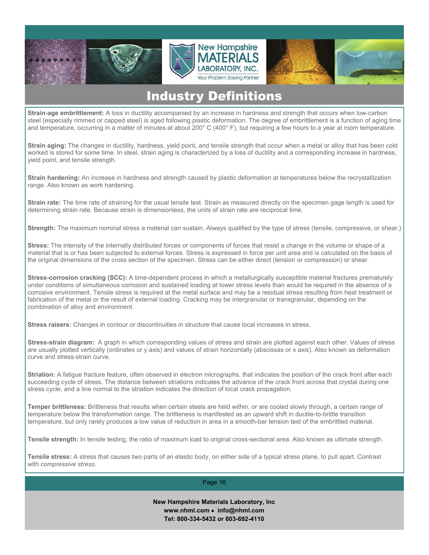**New Hampshire** MATFRIAI S **ABORATORY, INC. Your Problem Solving Partner** 

**Strain-age embrittlement:** A loss in ductility accompanied by an increase in hardness and strength that occurs when low-carbon steel (especially rimmed or capped steel) is aged following plastic deformation. The degree of embrittlement is a function of aging time and temperature, occurring in a matter of minutes at about 200° C (400° F), but requiring a few hours to a year at room temperature.

**Strain aging:** The changes in ductility, hardness, yield point, and tensile strength that occur when a metal or alloy that has been cold worked is stored for some time. In steel, strain aging is characterized by a loss of ductility and a corresponding increase in hardness, yield point, and tensile strength.

**Strain hardening:** An increase in hardness and strength caused by plastic deformation at temperatures below the recrystallization range. Also known as work hardening.

**Strain rate:** The time rate of straining for the usual tensile test. Strain as measured directly on the specimen gage length is used for determining strain rate. Because strain is dimensionless, the units of strain rate are reciprocal time.

**Strength:** The maximum nominal stress a material can sustain. Always qualified by the type of stress (tensile, compressive, or shear.)

**Stress:** The intensity of the internally distributed forces or components of forces that resist a change in the volume or shape of a material that is or has been subjected to external forces. Stress is expressed in force per unit area and is calculated on the basis of the original dimensions of the cross section of the specimen. Stress can be either direct (tension or compression) or shear.

**Stress-corrosion cracking (SCC):** A time-dependent process in which a metallurgically susceptible material fractures prematurely under conditions of simultaneous corrosion and sustained loading at lower stress levels than would be required in the absence of a corrosive environment. Tensile stress is required at the metal surface and may be a residual stress resulting from heat treatment or fabrication of the metal or the result of external loading. Cracking may be intergranular or transgranular, depending on the combination of alloy and environment.

**Stress raisers:** Changes in contour or discontinuities in structure that cause local increases in stress.

**Stress-strain diagram:** A graph in which corresponding values of stress and strain are plotted against each other. Values of stress are usually plotted vertically (ordinates or y axis) and values of strain horizontally (abscissas or x axis). Also known as deformation curve and stress-strain curve.

**Striation:** A fatigue fracture feature, often observed in electron micrographs, that indicates the position of the crack front after each succeeding cycle of stress. The distance between striations indicates the advance of the crack front across that crystal during one stress cycle, and a line normal to the striation indicates the direction of local crack propagation.

**Temper brittleness:** Brittleness that results when certain steels are held within, or are cooled slowly through, a certain range of temperature below the transformation range. The brittleness is manifested as an upward shift in ductile-to-brittle transition temperature, but only rarely produces a low value of reduction in area in a smooth-bar tension test of the embrittled material.

**Tensile strength:** In tensile testing, the ratio of maximum load to original cross-sectional area. Also known as ultimate strength.

**Tensile stress:** A stress that causes two parts of an elastic body, on either side of a typical stress plane, to pull apart. Contrast with *compressive stress*.

Page 16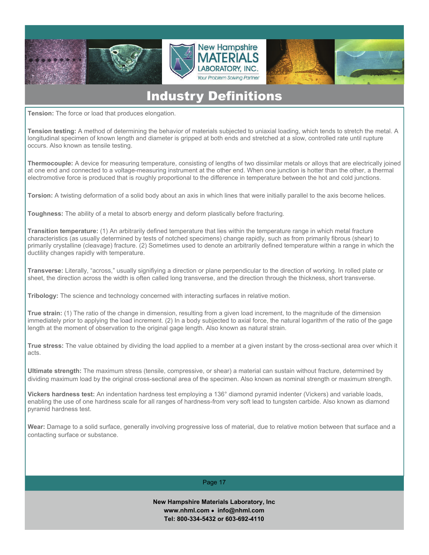### **New Hampshire** MATFRIAI S **ABORATORY, INC. Your Problem Solving Partner**

### Industry Definitions

**Tension:** The force or load that produces elongation.

**Tension testing:** A method of determining the behavior of materials subjected to uniaxial loading, which tends to stretch the metal. A longitudinal specimen of known length and diameter is gripped at both ends and stretched at a slow, controlled rate until rupture occurs. Also known as tensile testing.

**Thermocouple:** A device for measuring temperature, consisting of lengths of two dissimilar metals or alloys that are electrically joined at one end and connected to a voltage-measuring instrument at the other end. When one junction is hotter than the other, a thermal electromotive force is produced that is roughly proportional to the difference in temperature between the hot and cold junctions.

**Torsion:** A twisting deformation of a solid body about an axis in which lines that were initially parallel to the axis become helices.

**Toughness:** The ability of a metal to absorb energy and deform plastically before fracturing.

**Transition temperature:** (1) An arbitrarily defined temperature that lies within the temperature range in which metal fracture characteristics (as usually determined by tests of notched specimens) change rapidly, such as from primarily fibrous (shear) to primarily crystalline (cleavage) fracture. (2) Sometimes used to denote an arbitrarily defined temperature within a range in which the ductility changes rapidly with temperature.

**Transverse:** Literally, "across," usually signifiying a direction or plane perpendicular to the direction of working. In rolled plate or sheet, the direction across the width is often called long transverse, and the direction through the thickness, short transverse.

**Tribology:** The science and technology concerned with interacting surfaces in relative motion.

**True strain:** (1) The ratio of the change in dimension, resulting from a given load increment, to the magnitude of the dimension immediately prior to applying the load increment. (2) In a body subjected to axial force, the natural logarithm of the ratio of the gage length at the moment of observation to the original gage length. Also known as natural strain.

**True stress:** The value obtained by dividing the load applied to a member at a given instant by the cross-sectional area over which it acts.

**Ultimate strength:** The maximum stress (tensile, compressive, or shear) a material can sustain without fracture, determined by dividing maximum load by the original cross-sectional area of the specimen. Also known as nominal strength or maximum strength.

**Vickers hardness test:** An indentation hardness test employing a 136° diamond pyramid indenter (Vickers) and variable loads, enabling the use of one hardness scale for all ranges of hardness-from very soft lead to tungsten carbide. Also known as diamond pyramid hardness test.

**Wear:** Damage to a solid surface, generally involving progressive loss of material, due to relative motion between that surface and a contacting surface or substance.

#### Page 17